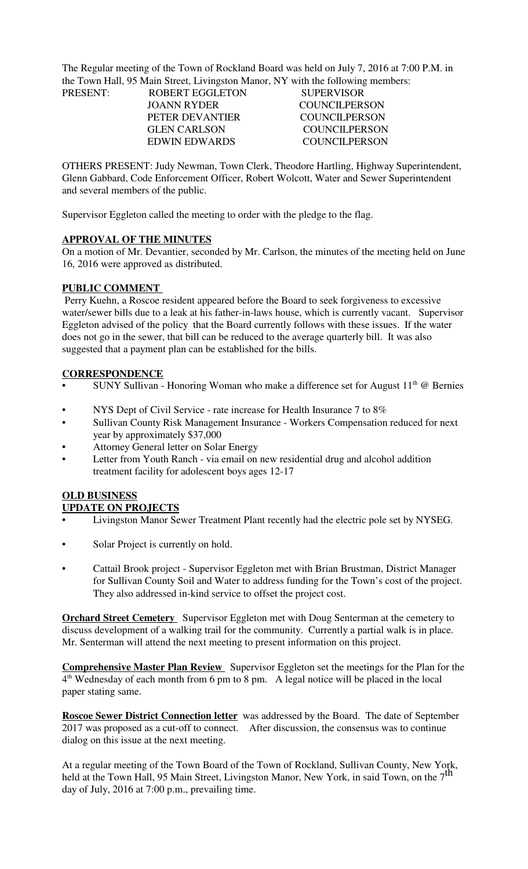The Regular meeting of the Town of Rockland Board was held on July 7, 2016 at 7:00 P.M. in the Town Hall, 95 Main Street, Livingston Manor, NY with the following members:

| <b>COUNCILPERSON</b> |
|----------------------|
| COUNCIL PERSON       |
| COUNCIL PERSON       |
| COUNCIL PERSON       |
|                      |

OTHERS PRESENT: Judy Newman, Town Clerk, Theodore Hartling, Highway Superintendent, Glenn Gabbard, Code Enforcement Officer, Robert Wolcott, Water and Sewer Superintendent and several members of the public.

Supervisor Eggleton called the meeting to order with the pledge to the flag.

#### **APPROVAL OF THE MINUTES**

On a motion of Mr. Devantier, seconded by Mr. Carlson, the minutes of the meeting held on June 16, 2016 were approved as distributed.

#### **PUBLIC COMMENT**

 Perry Kuehn, a Roscoe resident appeared before the Board to seek forgiveness to excessive water/sewer bills due to a leak at his father-in-laws house, which is currently vacant. Supervisor Eggleton advised of the policy that the Board currently follows with these issues. If the water does not go in the sewer, that bill can be reduced to the average quarterly bill. It was also suggested that a payment plan can be established for the bills.

#### **CORRESPONDENCE**

- SUNY Sullivan Honoring Woman who make a difference set for August  $11<sup>th</sup>$  @ Bernies
- NYS Dept of Civil Service rate increase for Health Insurance 7 to 8%
- Sullivan County Risk Management Insurance Workers Compensation reduced for next year by approximately \$37,000
- Attorney General letter on Solar Energy
- Letter from Youth Ranch via email on new residential drug and alcohol addition treatment facility for adolescent boys ages 12-17

### **OLD BUSINESS**

### **UPDATE ON PROJECTS**

- Livingston Manor Sewer Treatment Plant recently had the electric pole set by NYSEG.
- Solar Project is currently on hold.
- Cattail Brook project Supervisor Eggleton met with Brian Brustman, District Manager for Sullivan County Soil and Water to address funding for the Town's cost of the project. They also addressed in-kind service to offset the project cost.

**Orchard Street Cemetery** Supervisor Eggleton met with Doug Senterman at the cemetery to discuss development of a walking trail for the community. Currently a partial walk is in place. Mr. Senterman will attend the next meeting to present information on this project.

**Comprehensive Master Plan Review** Supervisor Eggleton set the meetings for the Plan for the 4<sup>th</sup> Wednesday of each month from 6 pm to 8 pm. A legal notice will be placed in the local paper stating same.

**Roscoe Sewer District Connection letter** was addressed by the Board. The date of September 2017 was proposed as a cut-off to connect. After discussion, the consensus was to continue dialog on this issue at the next meeting.

At a regular meeting of the Town Board of the Town of Rockland, Sullivan County, New York, held at the Town Hall, 95 Main Street, Livingston Manor, New York, in said Town, on the  $7<sup>th</sup>$ day of July, 2016 at 7:00 p.m., prevailing time.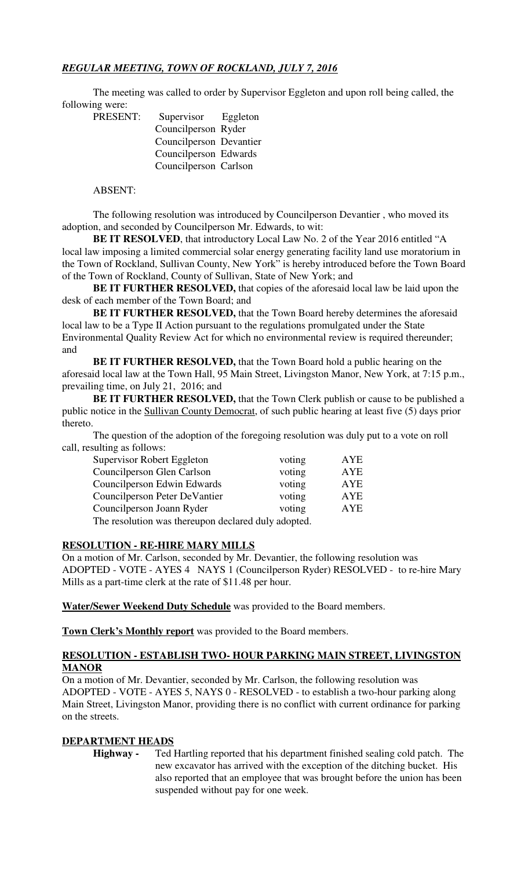# *REGULAR MEETING, TOWN OF ROCKLAND, JULY 7, 2016*

The meeting was called to order by Supervisor Eggleton and upon roll being called, the following were: PRESENT:

| Supervisor Eggleton     |  |
|-------------------------|--|
| Councilperson Ryder     |  |
| Councilperson Devantier |  |
| Councilperson Edwards   |  |
| Councilperson Carlson   |  |
|                         |  |

# ABSENT:

The following resolution was introduced by Councilperson Devantier , who moved its adoption, and seconded by Councilperson Mr. Edwards, to wit:

**BE IT RESOLVED**, that introductory Local Law No. 2 of the Year 2016 entitled "A local law imposing a limited commercial solar energy generating facility land use moratorium in the Town of Rockland, Sullivan County, New York" is hereby introduced before the Town Board of the Town of Rockland, County of Sullivan, State of New York; and

**BE IT FURTHER RESOLVED,** that copies of the aforesaid local law be laid upon the desk of each member of the Town Board; and

**BE IT FURTHER RESOLVED,** that the Town Board hereby determines the aforesaid local law to be a Type II Action pursuant to the regulations promulgated under the State Environmental Quality Review Act for which no environmental review is required thereunder; and

**BE IT FURTHER RESOLVED,** that the Town Board hold a public hearing on the aforesaid local law at the Town Hall, 95 Main Street, Livingston Manor, New York, at 7:15 p.m., prevailing time, on July 21, 2016; and

**BE IT FURTHER RESOLVED,** that the Town Clerk publish or cause to be published a public notice in the Sullivan County Democrat, of such public hearing at least five (5) days prior thereto.

The question of the adoption of the foregoing resolution was duly put to a vote on roll call, resulting as follows:

| Supervisor Robert Eggleton                       | voting | AYE |
|--------------------------------------------------|--------|-----|
| Councilperson Glen Carlson                       | voting | AYE |
| Councilperson Edwin Edwards                      | voting | AYE |
| Councilperson Peter DeVantier                    | voting | AYE |
| Councilperson Joann Ryder                        | voting | AYE |
| The secolulian was thousan declared duly adopted |        |     |

The resolution was thereupon declared duly adopted.

### **RESOLUTION - RE-HIRE MARY MILLS**

On a motion of Mr. Carlson, seconded by Mr. Devantier, the following resolution was ADOPTED - VOTE - AYES 4 NAYS 1 (Councilperson Ryder) RESOLVED - to re-hire Mary Mills as a part-time clerk at the rate of \$11.48 per hour.

**Water/Sewer Weekend Duty Schedule** was provided to the Board members.

**Town Clerk's Monthly report** was provided to the Board members.

### **RESOLUTION - ESTABLISH TWO- HOUR PARKING MAIN STREET, LIVINGSTON MANOR**

On a motion of Mr. Devantier, seconded by Mr. Carlson, the following resolution was ADOPTED - VOTE - AYES 5, NAYS 0 - RESOLVED - to establish a two-hour parking along Main Street, Livingston Manor, providing there is no conflict with current ordinance for parking on the streets.

### **DEPARTMENT HEADS**

**Highway -** Ted Hartling reported that his department finished sealing cold patch. The new excavator has arrived with the exception of the ditching bucket. His also reported that an employee that was brought before the union has been suspended without pay for one week.